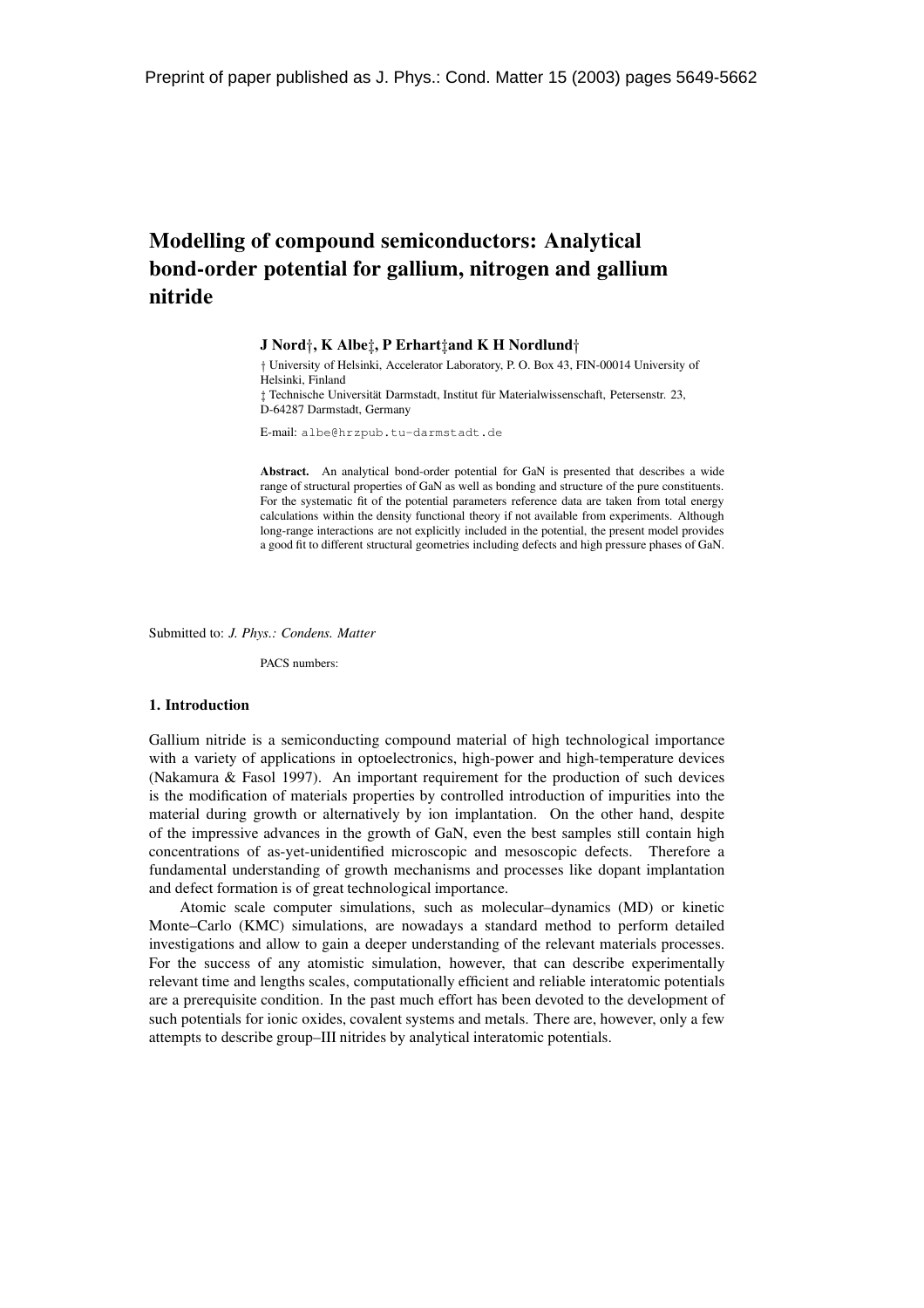# **Modelling of compound semiconductors: Analytical bond-order potential for gallium, nitrogen and gallium nitride**

**J Nord**y**, K Albe**z**, P Erhart**z**and K H Nordlund**<sup>y</sup>

<sup>†</sup> University of Helsinki, Accelerator Laboratory, P. O. Box 43, FIN-00014 University of Helsinki, Finland  $\ddagger$  Technische Universität Darmstadt, Institut für Materialwissenschaft, Petersenstr. 23, D-64287 Darmstadt, Germany

E-mail: albe@hrzpub.tu-darmstadt.de

**Abstract.** An analytical bond-order potential for GaN is presented that describes a wide range of structural properties of GaN as well as bonding and structure of the pure constituents. For the systematic fit of the potential parameters reference data are taken from total energy calculations within the density functional theory if not available from experiments. Although long-range interactions are not explicitly included in the potential, the present model provides a good fit to different structural geometries including defects and high pressure phases of GaN.

Submitted to: *J. Phys.: Condens. Matter*

PACS numbers:

#### **1. Introduction**

Gallium nitride is a semiconducting compound material of high technological importance with a variety of applications in optoelectronics, high-power and high-temperature devices (Nakamura & Fasol 1997). An important requirement for the production of such devices is the modification of materials properties by controlled introduction of impurities into the material during growth or alternatively by ion implantation. On the other hand, despite of the impressive advances in the growth of GaN, even the best samples still contain high concentrations of as-yet-unidentified microscopic and mesoscopic defects. Therefore a fundamental understanding of growth mechanisms and processes like dopant implantation and defect formation is of great technological importance.

Atomic scale computer simulations, such as molecular–dynamics (MD) or kinetic Monte–Carlo (KMC) simulations, are nowadays a standard method to perform detailed investigations and allow to gain a deeper understanding of the relevant materials processes. For the success of any atomistic simulation, however, that can describe experimentally relevant time and lengths scales, computationally efficient and reliable interatomic potentials are a prerequisite condition. In the past much effort has been devoted to the development of such potentials for ionic oxides, covalent systems and metals. There are, however, only a few attempts to describe group–III nitrides by analytical interatomic potentials.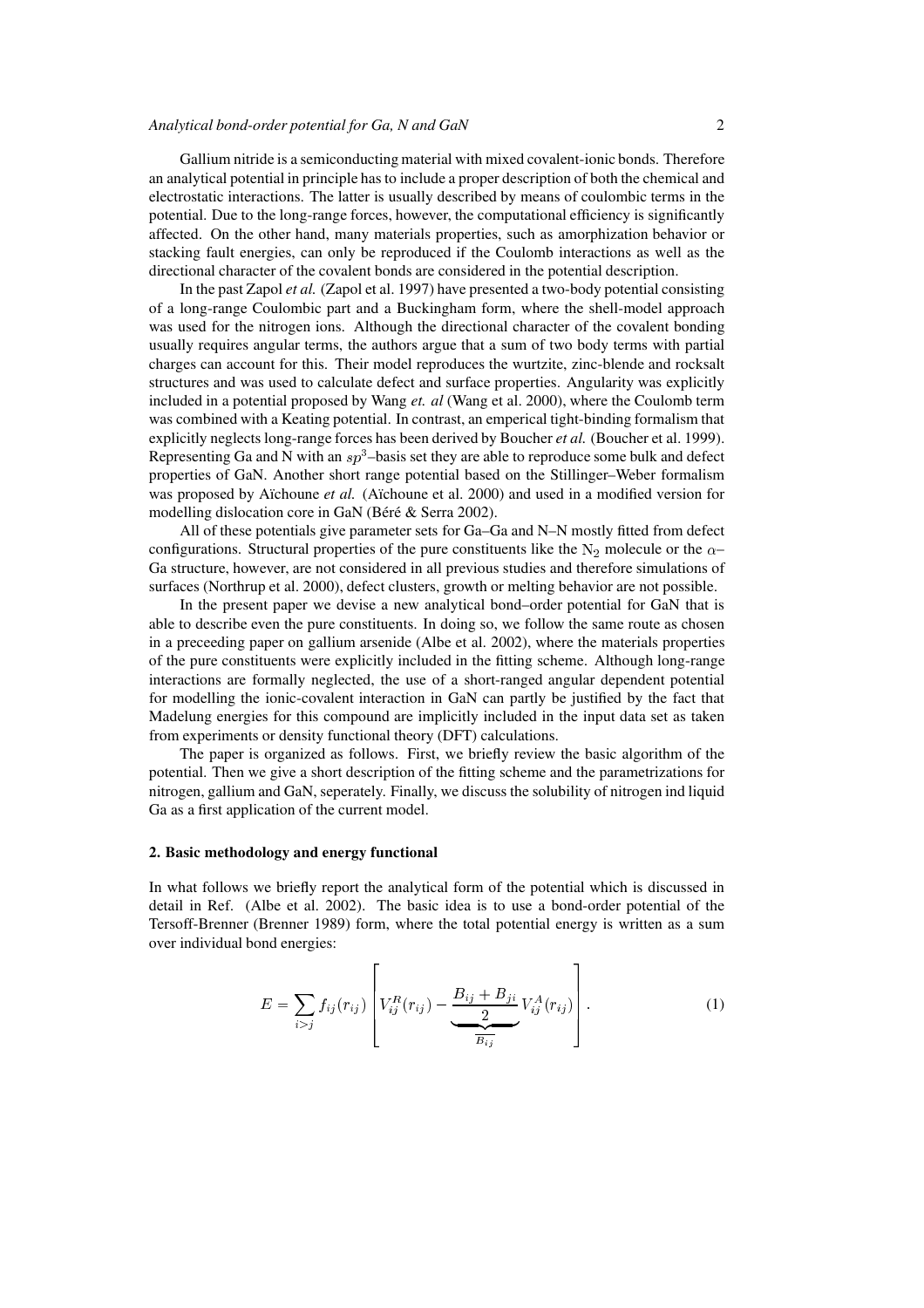## *Analytical bond-order potential for Ga, N and GaN* 2

Gallium nitride is a semiconducting material with mixed covalent-ionic bonds. Therefore an analytical potential in principle has to include a proper description of both the chemical and electrostatic interactions. The latter is usually described by means of coulombic terms in the potential. Due to the long-range forces, however, the computational efficiency is significantly affected. On the other hand, many materials properties, such as amorphization behavior or stacking fault energies, can only be reproduced if the Coulomb interactions as well as the directional character of the covalent bonds are considered in the potential description.

In the past Zapol *et al.* (Zapol et al. 1997) have presented a two-body potential consisting of a long-range Coulombic part and a Buckingham form, where the shell-model approach was used for the nitrogen ions. Although the directional character of the covalent bonding usually requires angular terms, the authors argue that a sum of two body terms with partial charges can account for this. Their model reproduces the wurtzite, zinc-blende and rocksalt structures and was used to calculate defect and surface properties. Angularity was explicitly included in a potential proposed by Wang *et. al* (Wang et al. 2000), where the Coulomb term was combined with a Keating potential. In contrast, an emperical tight-binding formalism that explicitly neglects long-range forces has been derived by Boucher *et al.* (Boucher et al. 1999). Representing Ga and N with an  $sp^3$ -basis set they are able to reproduce some bulk and defect properties of GaN. Another short range potential based on the Stillinger–Weber formalism was proposed by Aïchoune et al. (Aïchoune et al. 2000) and used in a modified version for modelling dislocation core in GaN (Béré & Serra 2002).

All of these potentials give parameter sets for Ga–Ga and N–N mostly fitted from defect configurations. Structural properties of the pure constituents like the  $N_2$  molecule or the  $\alpha$ – Ga structure, however, are not considered in all previous studies and therefore simulations of surfaces (Northrup et al. 2000), defect clusters, growth or melting behavior are not possible.

In the present paper we devise a new analytical bond–order potential for GaN that is able to describe even the pure constituents. In doing so, we follow the same route as chosen in a preceeding paper on gallium arsenide (Albe et al. 2002), where the materials properties of the pure constituents were explicitly included in the fitting scheme. Although long-range interactions are formally neglected, the use of a short-ranged angular dependent potential for modelling the ionic-covalent interaction in GaN can partly be justified by the fact that Madelung energies for this compound are implicitly included in the input data set as taken from experiments or density functional theory (DFT) calculations.

The paper is organized as follows. First, we briefly review the basic algorithm of the potential. Then we give a short description of the fitting scheme and the parametrizations for nitrogen, gallium and GaN, seperately. Finally, we discuss the solubility of nitrogen ind liquid Ga as a first application of the current model.

## **2. Basic methodology and energy functional**

In what follows we briefly report the analytical form of the potential which is discussed in detail in Ref. (Albe et al. 2002). The basic idea is to use a bond-order potential of the Tersoff-Brenner (Brenner 1989) form, where the total potential energy is written as a sum over individual bond energies:

<sup>2</sup>

$$
E = \sum_{i > j} f_{ij}(r_{ij}) \left[ V_{ij}^{R}(r_{ij}) - \frac{B_{ij} + B_{ji}}{2} V_{ij}^{A}(r_{ij}) \right].
$$
 (1)

- 1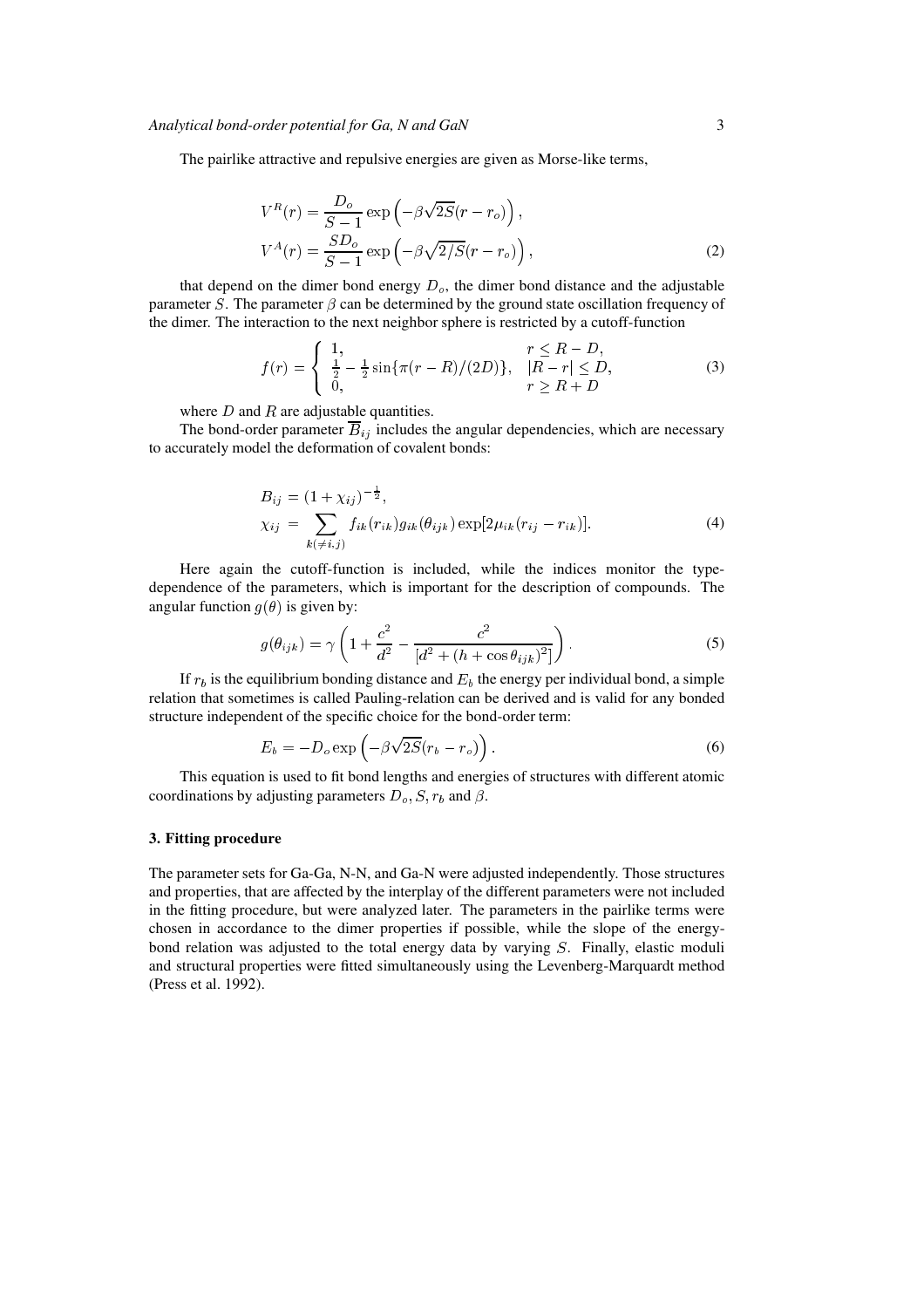The pairlike attractive and repulsive energies are given as Morse-like terms,

$$
V^{R}(r) = \frac{D_o}{S-1} \exp\left(-\beta \sqrt{2S}(r - r_o)\right),
$$
  
\n
$$
V^{A}(r) = \frac{SD_o}{S-1} \exp\left(-\beta \sqrt{2/S}(r - r_o)\right),
$$
\n(2)

that depend on the dimer bond energy  $D<sub>o</sub>$ , the dimer bond distance and the adjustable parameter S. The parameter  $\beta$  can be determined by the ground state oscillation frequency of the dimer. The interaction to the next neighbor sphere is restricted by a cutoff-function

$$
f(r) = \begin{cases} 1, & r \le R - D, \\ \frac{1}{2} - \frac{1}{2} \sin{\pi (r - R)} / (2D) \}, & |R - r| \le D, \\ 0, & r \ge R + D \end{cases}
$$
(3)

where  $D$  and  $R$  are adjustable quantities.

The bond-order parameter  $\overline{B}_{ij}$  includes the angular dependencies, which are necessary to accurately model the deformation of covalent bonds:

$$
B_{ij} = (1 + \chi_{ij})^{-\frac{1}{2}},
$$
  
\n
$$
\chi_{ij} = \sum_{k(\neq i,j)} f_{ik}(r_{ik})g_{ik}(\theta_{ijk}) \exp[2\mu_{ik}(r_{ij} - r_{ik})].
$$
\n(4)

Here again the cutoff-function is included, while the indices monitor the typedependence of the parameters, which is important for the description of compounds. The angular function  $g(\theta)$  is given by:

$$
g(\theta_{ijk}) = \gamma \left( 1 + \frac{c^2}{d^2} - \frac{c^2}{[d^2 + (h + \cos \theta_{ijk})^2]} \right). \tag{5}
$$

If  $r_b$  is the equilibrium bonding distance and  $E_b$  the energy per individual bond, a simple relation that sometimes is called Pauling-relation can be derived and is valid for any bonded structure independent of the specific choice for the bond-order term:

$$
E_b = -D_o \exp\left(-\beta \sqrt{2S}(r_b - r_o)\right). \tag{6}
$$

This equation is used to fit bond lengths and energies of structures with different atomic coordinations by adjusting parameters  $D_o$ ,  $S$ ,  $r_b$  and  $\beta$ .

## **3. Fitting procedure**

The parameter sets for Ga-Ga, N-N, and Ga-N were adjusted independently. Those structures and properties, that are affected by the interplay of the different parameters were not included in the fitting procedure, but were analyzed later. The parameters in the pairlike terms were chosen in accordance to the dimer properties if possible, while the slope of the energybond relation was adjusted to the total energy data by varying <sup>S</sup>. Finally, elastic moduli and structural properties were fitted simultaneously using the Levenberg-Marquardt method (Press et al. 1992).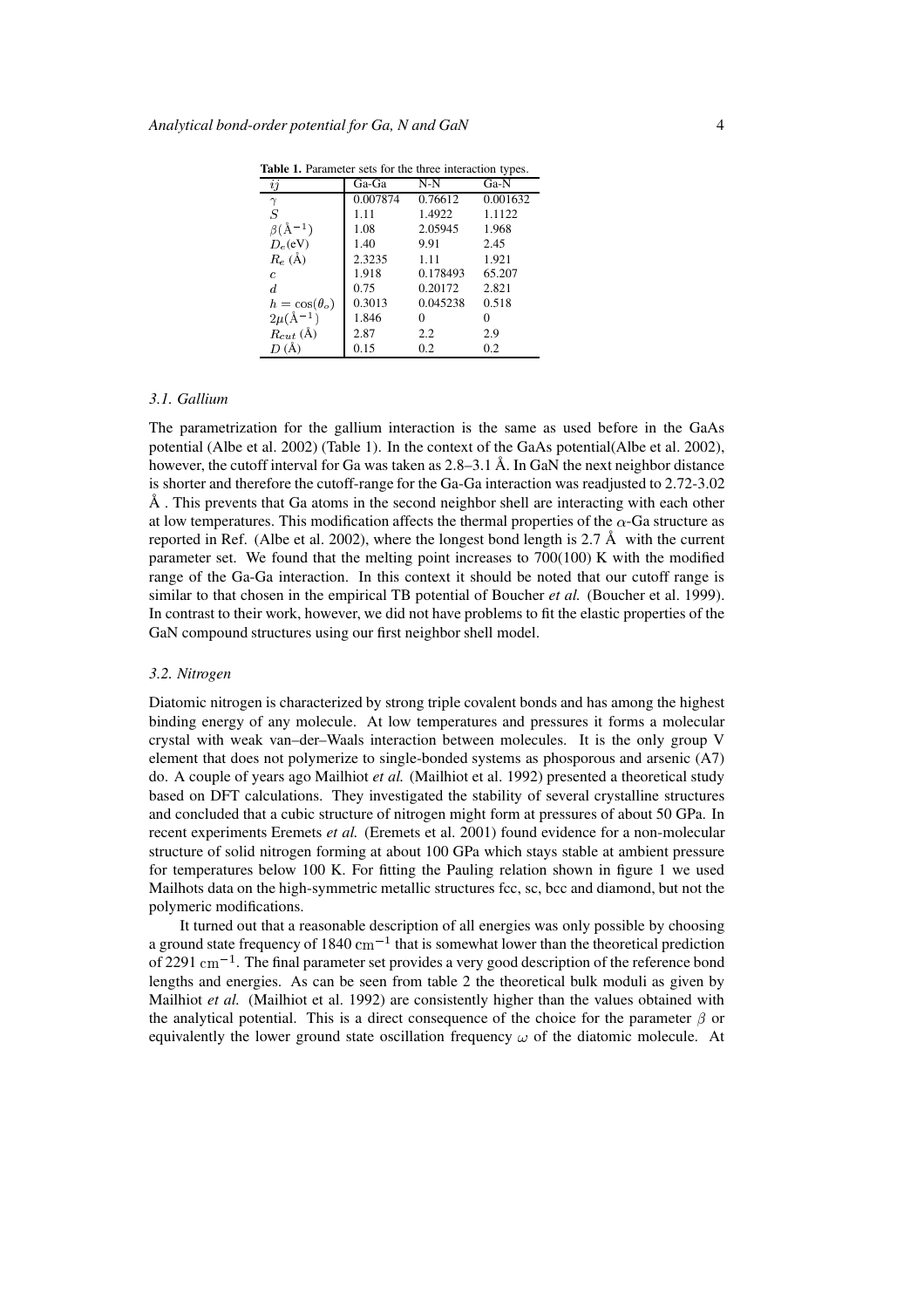|                            |          |          | ╯        |
|----------------------------|----------|----------|----------|
| ij                         | Ga-Ga    | N-N      | Ga-N     |
| $\gamma$                   | 0.007874 | 0.76612  | 0.001632 |
| S                          | 1.11     | 1.4922   | 1.1122   |
| $\beta(\mathrm{\AA}^{-1})$ | 1.08     | 2.05945  | 1.968    |
| $D_e$ (eV)                 | 1.40     | 9.91     | 2.45     |
| $R_e$ (Å)                  | 2.3235   | 1.11     | 1.921    |
| c                          | 1.918    | 0.178493 | 65.207   |
| $\overline{d}$             | 0.75     | 0.20172  | 2.821    |
| $h = \cos(\theta_o)$       | 0.3013   | 0.045238 | 0.518    |
| $2\mu(A^{-1})$             | 1.846    | 0        | 0        |
| $R_{cut}$ (Å)              | 2.87     | 2.2      | 2.9      |
| D(A)                       | 0.15     | 0.2      | 0.2      |
|                            |          |          |          |

**Table 1.** Parameter sets for the three interaction types.

## *3.1. Gallium*

The parametrization for the gallium interaction is the same as used before in the GaAs potential (Albe et al. 2002) (Table 1). In the context of the GaAs potential(Albe et al. 2002), however, the cutoff interval for Ga was taken as  $2.8-3.1 \text{ Å}$ . In GaN the next neighbor distance is shorter and therefore the cutoff-range for the Ga-Ga interaction was readjusted to 2.72-3.02  $Å$ . This prevents that Ga atoms in the second neighbor shell are interacting with each other at low temperatures. This modification affects the thermal properties of the  $\alpha$ -Ga structure as reported in Ref. (Albe et al. 2002), where the longest bond length is 2.7  $\AA$  with the current parameter set. We found that the melting point increases to  $700(100)$  K with the modified range of the Ga-Ga interaction. In this context it should be noted that our cutoff range is similar to that chosen in the empirical TB potential of Boucher *et al.* (Boucher et al. 1999). In contrast to their work, however, we did not have problems to fit the elastic properties of the GaN compound structures using our first neighbor shell model.

## *3.2. Nitrogen*

Diatomic nitrogen is characterized by strong triple covalent bonds and has among the highest binding energy of any molecule. At low temperatures and pressures it forms a molecular crystal with weak van–der–Waals interaction between molecules. It is the only group V element that does not polymerize to single-bonded systems as phosporous and arsenic (A7) do. A couple of years ago Mailhiot *et al.* (Mailhiot et al. 1992) presented a theoretical study based on DFT calculations. They investigated the stability of several crystalline structures and concluded that a cubic structure of nitrogen might form at pressures of about 50 GPa. In recent experiments Eremets *et al.* (Eremets et al. 2001) found evidence for a non-molecular structure of solid nitrogen forming at about 100 GPa which stays stable at ambient pressure for temperatures below 100 K. For fitting the Pauling relation shown in figure 1 we used Mailhots data on the high-symmetric metallic structures fcc, sc, bcc and diamond, but not the polymeric modifications.

It turned out that a reasonable description of all energies was only possible by choosing a ground state frequency of 1840  $\text{cm}^{-1}$  that is somewhat lower than the theoretical prediction of 2291  $\text{cm}^{-1}$ . The final parameter set provides a very good description of the reference bond lengths and energies. As can be seen from table 2 the theoretical bulk moduli as given by Mailhiot *et al.* (Mailhiot et al. 1992) are consistently higher than the values obtained with the analytical potential. This is a direct consequence of the choice for the parameter  $\beta$  or equivalently the lower ground state oscillation frequency  $\omega$  of the diatomic molecule. At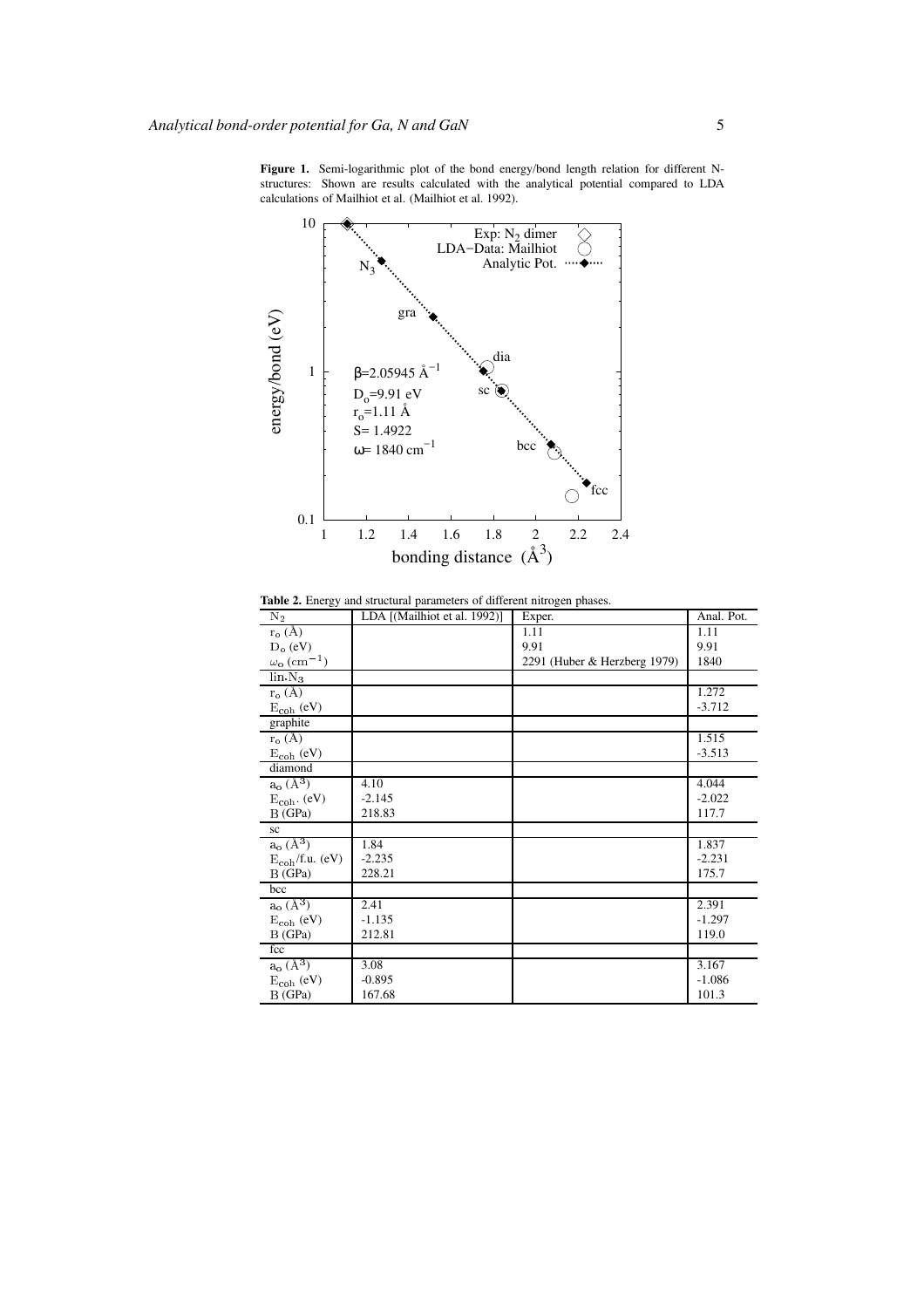**Figure 1.** Semi-logarithmic plot of the bond energy/bond length relation for different Nstructures: Shown are results calculated with the analytical potential compared to LDA calculations of Mailhiot et al. (Mailhiot et al. 1992).



**Table 2.** Energy and structural parameters of different nitrogen phases.

| ັັ<br>$\overline{N_2}$               | LDA [(Mailhiot et al. 1992)] | Exper.                       | Anal. Pot. |
|--------------------------------------|------------------------------|------------------------------|------------|
| $r_o(A)$                             |                              | 1.11                         | 1.11       |
| $D_0$ (eV)                           |                              | 9.91                         | 9.91       |
| $\omega_{\rm o}$ (cm <sup>-1</sup> ) |                              | 2291 (Huber & Herzberg 1979) | 1840       |
| $\ln N_3$                            |                              |                              |            |
| $r_o(A)$                             |                              |                              | 1.272      |
| $E_{coh}$ (eV)                       |                              |                              | $-3.712$   |
| graphite                             |                              |                              |            |
| $r_{o}(\AA)$                         |                              |                              | 1.515      |
| $\rm E_{coh}$ (eV)                   |                              |                              | $-3.513$   |
| diamond                              |                              |                              |            |
| $a_o(A^3)$                           | 4.10                         |                              | 4.044      |
| $E_{coh}$ . (eV)                     | $-2.145$                     |                              | $-2.022$   |
| B(GPa)                               | 218.83                       |                              | 117.7      |
| sc                                   |                              |                              |            |
| $a_{o}$ $(A^{3})$                    | 1.84                         |                              | 1.837      |
| $E_{coh}/f.u.$ (eV)                  | $-2.235$                     |                              | $-2.231$   |
| B(GPa)                               | 228.21                       |                              | 175.7      |
| bcc                                  |                              |                              |            |
| $a_o(A^3)$                           | 2.41                         |                              | 2.391      |
| $E_{coh}$ (eV)                       | $-1.135$                     |                              | $-1.297$   |
| B(GPa)                               | 212.81                       |                              | 119.0      |
| fcc                                  |                              |                              |            |
| $a_o(A^3)$                           | 3.08                         |                              | 3.167      |
| $E_{coh}$ (eV)                       | $-0.895$                     |                              | $-1.086$   |
| B(GPa)                               | 167.68                       |                              | 101.3      |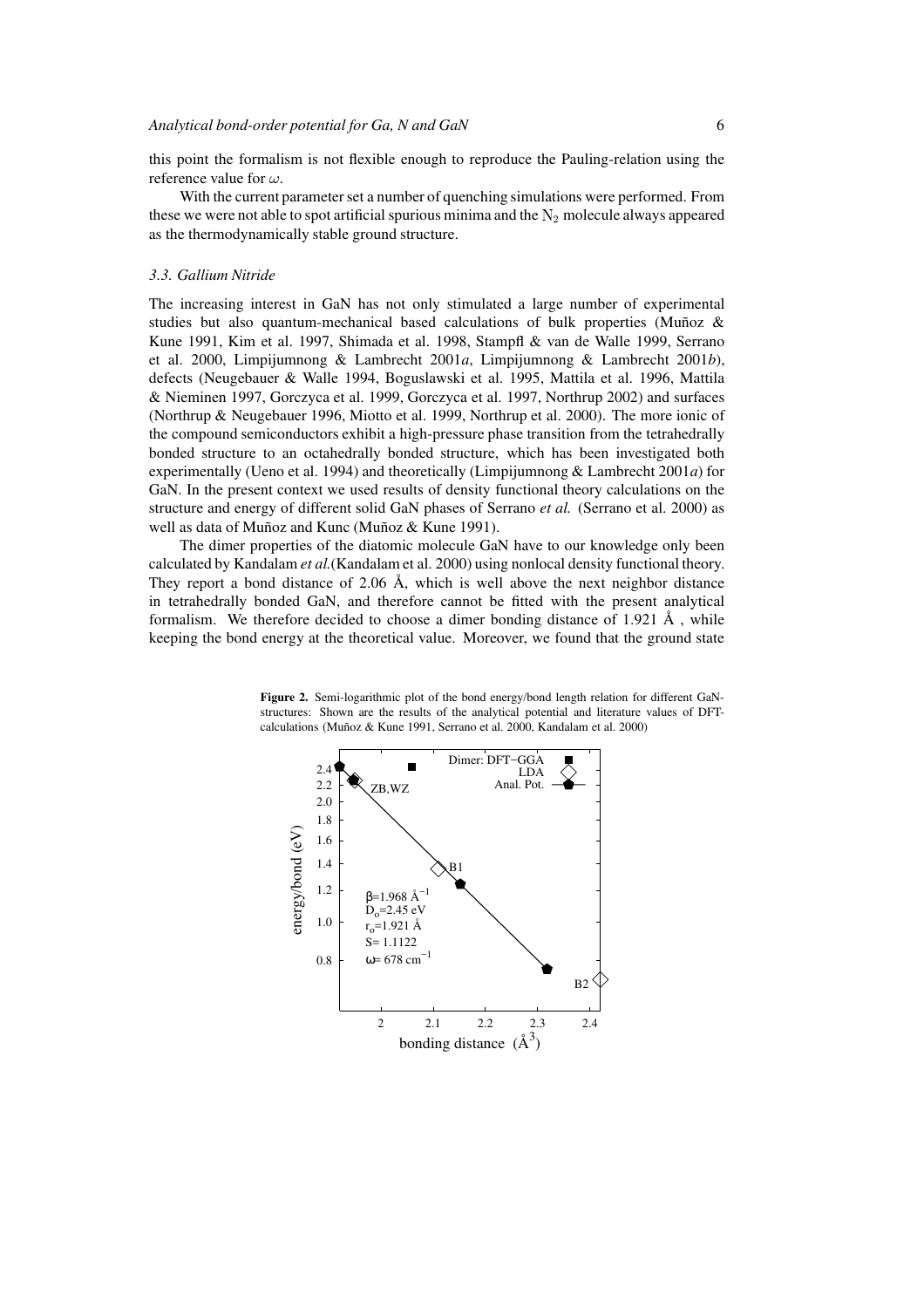this point the formalism is not flexible enough to reproduce the Pauling-relation using the reference value for  $\omega$ .

With the current parameter set a number of quenching simulations were performed. From these we were not able to spot artificial spurious minima and the  $N_2$  molecule always appeared as the thermodynamically stable ground structure.

#### *3.3. Gallium Nitride*

The increasing interest in GaN has not only stimulated a large number of experimental studies but also quantum-mechanical based calculations of bulk properties (Muñoz  $\&$ Kune 1991, Kim et al. 1997, Shimada et al. 1998, Stampfl & van de Walle 1999, Serrano et al. 2000, Limpijumnong & Lambrecht 2001*a*, Limpijumnong & Lambrecht 2001*b*), defects (Neugebauer & Walle 1994, Boguslawski et al. 1995, Mattila et al. 1996, Mattila & Nieminen 1997, Gorczyca et al. 1999, Gorczyca et al. 1997, Northrup 2002) and surfaces (Northrup & Neugebauer 1996, Miotto et al. 1999, Northrup et al. 2000). The more ionic of the compound semiconductors exhibit a high-pressure phase transition from the tetrahedrally bonded structure to an octahedrally bonded structure, which has been investigated both experimentally (Ueno et al. 1994) and theoretically (Limpijumnong & Lambrecht 2001*a*) for GaN. In the present context we used results of density functional theory calculations on the structure and energy of different solid GaN phases of Serrano *et al.* (Serrano et al. 2000) as well as data of Muñoz and Kunc (Muñoz & Kune 1991).

The dimer properties of the diatomic molecule GaN have to our knowledge only been calculated by Kandalam *et al.*(Kandalam et al. 2000) using nonlocal density functional theory. They report a bond distance of 2.06  $\AA$ , which is well above the next neighbor distance in tetrahedrally bonded GaN, and therefore cannot be fitted with the present analytical formalism. We therefore decided to choose a dimer bonding distance of 1.921  $\AA$  , while keeping the bond energy at the theoretical value. Moreover, we found that the ground state

**Figure 2.** Semi-logarithmic plot of the bond energy/bond length relation for different GaNstructures: Shown are the results of the analytical potential and literature values of DFTcalculations (Muñoz & Kune 1991, Serrano et al. 2000, Kandalam et al. 2000)

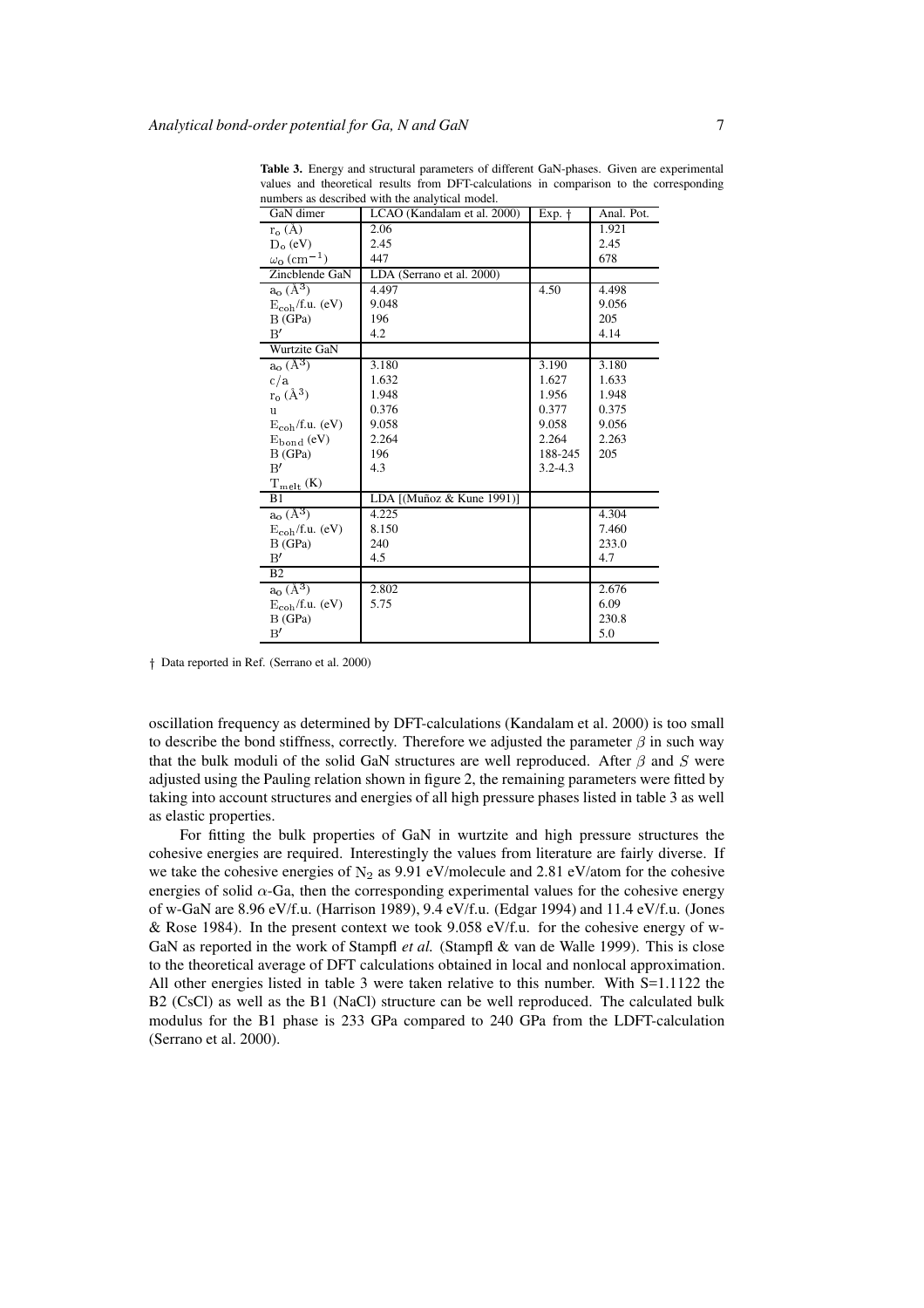| GaN dimer                            | LCAO (Kandalam et al. 2000) | Exp. †      | Anal. Pot. |
|--------------------------------------|-----------------------------|-------------|------------|
| $r_o(A)$                             | 2.06                        |             | 1.921      |
| $D_0$ (eV)                           | 2.45                        |             | 2.45       |
| $\omega_{\rm o}$ (cm <sup>-1</sup> ) | 447                         |             | 678        |
| Zincblende GaN                       | LDA (Serrano et al. 2000)   |             |            |
| $a_o(A^3)$                           | 4.497                       | 4.50        | 4.498      |
| $E_{coh}/f.u.$ (eV)                  | 9.048                       |             | 9.056      |
| B(GPa)                               | 196                         |             | 205        |
| B'                                   | 4.2                         |             | 4.14       |
| Wurtzite GaN                         |                             |             |            |
| $a_o(A^3)$                           | 3.180                       | 3.190       | 3.180      |
| c/a                                  | 1.632                       | 1.627       | 1.633      |
| $r_o(A^3)$                           | 1.948                       | 1.956       | 1.948      |
| u                                    | 0.376                       | 0.377       | 0.375      |
| $E_{coh}/f.u.$ (eV)                  | 9.058                       | 9.058       | 9.056      |
| $E_{bond}$ (eV)                      | 2.264                       | 2.264       | 2.263      |
| B(GPa)                               | 196                         | 188-245     | 205        |
| B'                                   | 4.3                         | $3.2 - 4.3$ |            |
| $T_{melt}$ (K)                       |                             |             |            |
| B1                                   | LDA [(Muñoz & Kune 1991)]   |             |            |
| $a_o(A^3)$                           | 4.225                       |             | 4.304      |
| $E_{coh}/f.u.$ (eV)                  | 8.150                       |             | 7.460      |
| B(GPa)                               | 240                         |             | 233.0      |
| B'                                   | 4.5                         |             | 4.7        |
| B <sub>2</sub>                       |                             |             |            |
| $a_o(A^3)$                           | 2.802                       |             | 2.676      |
| $E_{coh}/f.u.$ (eV)                  | 5.75                        |             | 6.09       |
| B(GPa)                               |                             |             | 230.8      |
| B'                                   |                             |             | 5.0        |

**Table 3.** Energy and structural parameters of different GaN-phases. Given are experimental values and theoretical results from DFT-calculations in comparison to the corresponding numbers as described with the analytical model.

 $\dagger$  Data reported in Ref. (Serrano et al. 2000)

oscillation frequency as determined by DFT-calculations (Kandalam et al. 2000) is too small to describe the bond stiffness, correctly. Therefore we adjusted the parameter  $\beta$  in such way that the bulk moduli of the solid GaN structures are well reproduced. After  $\beta$  and S were adjusted using the Pauling relation shown in figure 2, the remaining parameters were fitted by taking into account structures and energies of all high pressure phases listed in table 3 as well as elastic properties.

For fitting the bulk properties of GaN in wurtzite and high pressure structures the cohesive energies are required. Interestingly the values from literature are fairly diverse. If we take the cohesive energies of  $N_2$  as 9.91 eV/molecule and 2.81 eV/atom for the cohesive energies of solid  $\alpha$ -Ga, then the corresponding experimental values for the cohesive energy of w-GaN are 8.96 eV/f.u. (Harrison 1989), 9.4 eV/f.u. (Edgar 1994) and 11.4 eV/f.u. (Jones & Rose 1984). In the present context we took 9.058 eV/f.u. for the cohesive energy of w-GaN as reported in the work of Stampfl *et al.* (Stampfl & van de Walle 1999). This is close to the theoretical average of DFT calculations obtained in local and nonlocal approximation. All other energies listed in table 3 were taken relative to this number. With S=1.1122 the B2 (CsCl) as well as the B1 (NaCl) structure can be well reproduced. The calculated bulk modulus for the B1 phase is 233 GPa compared to 240 GPa from the LDFT-calculation (Serrano et al. 2000).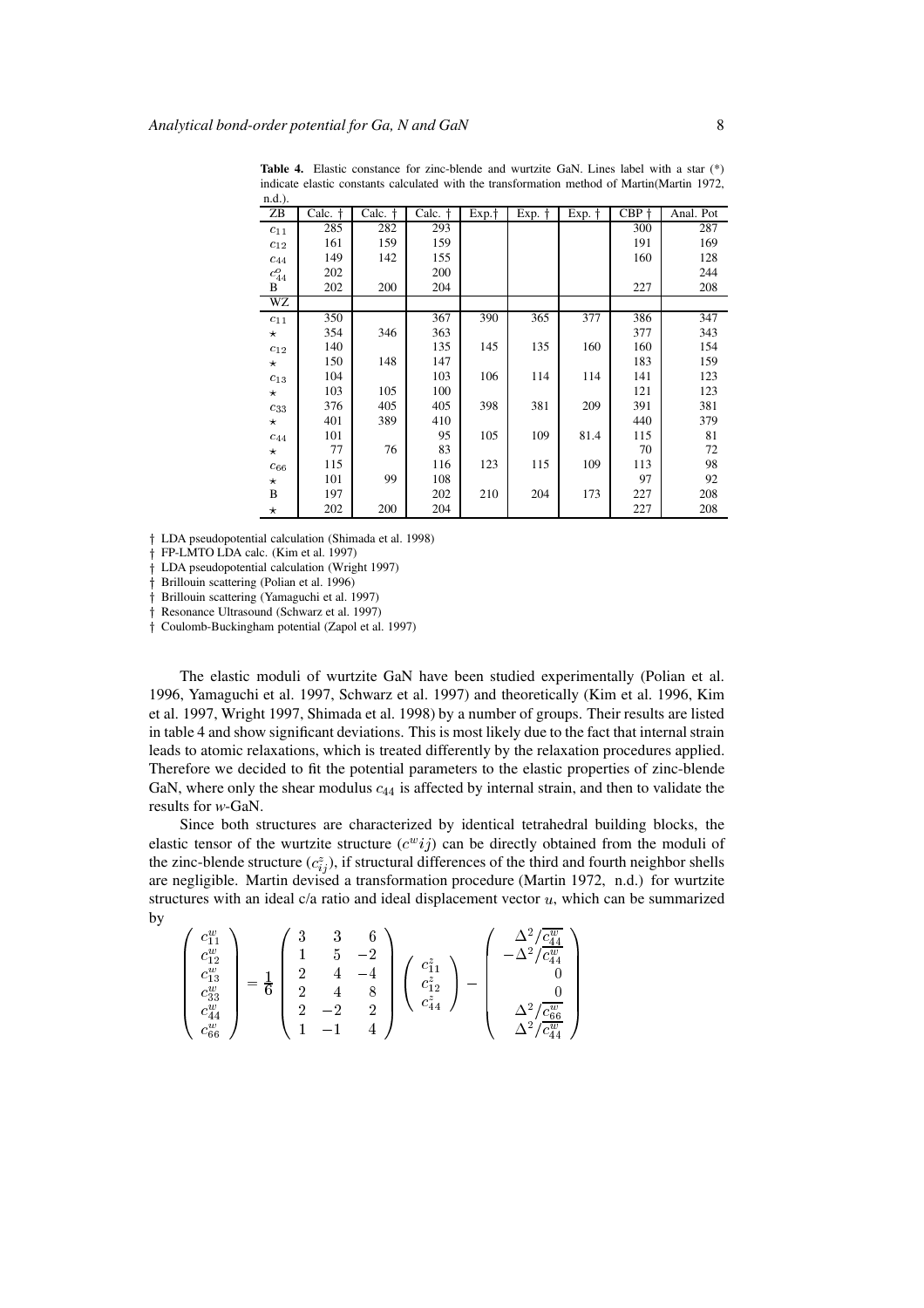n.d.) ZB | Calc. † | Calc. † | Calc. † | Exp. † | Exp. † | Exp. † | CBP † | Anal. Pot  $c_{11}$  | 285 | 282 | 293 | | | | 300 | 287  $c_{12}$  161 159 159 159 159 169  $c_{44}$  | 149 | 142 | 155 | | | | | | 160 | 128  $c_{44}^o$ <sup>44</sup> 202 200 244 B 202 200 204 1 227 208 WZ  $c_{11}$  350 367 367 390 365 377 386 347  $\star$  354 346 363 1 377 343  $c_{12}$  140 140 154 135 145 145 154 154  $\star$  150 148 147 139 183 159  $c_{13}$  104 103 103 106 114 114 141 141  $\star$  | 103 | 105 | 100 | | | | | | | | | 121 | 123  $c_{33}$  376 405 405 398 381 209 391 381  $\star$  401 389 410  $\vert$  440 440 379  $c_{44}$  101 | 95 105 109 81.4 115 81  $\star$  77 76 83 70 72  $c_{66}$  115 116 123 115 109 113 98  $\star$  | 101 | 99 | 108 | | | | | 97 | 92 B | 197 | 202 | 210 | 204 | 173 | 227 | 208  $\star$  202 200 204 1 227 208

**Table 4.** Elastic constance for zinc-blende and wurtzite GaN. Lines label with a star (\*) indicate elastic constants calculated with the transformation method of Martin(Martin 1972,

LDA pseudopotential calculation (Shimada et al. 1998)

FP-LMTO LDA calc. (Kim et al. 1997)

LDA pseudopotential calculation (Wright 1997)

Brillouin scattering (Polian et al. 1996)

Brillouin scattering (Yamaguchi et al. 1997)

<sup>y</sup> Resonance Ultrasound (Schwarz et al. 1997)

Coulomb-Buckingham potential (Zapol et al. 1997)

The elastic moduli of wurtzite GaN have been studied experimentally (Polian et al. 1996, Yamaguchi et al. 1997, Schwarz et al. 1997) and theoretically (Kim et al. 1996, Kim et al. 1997, Wright 1997, Shimada et al. 1998) by a number of groups. Their results are listed in table 4 and show significant deviations. This is most likely due to the fact that internal strain leads to atomic relaxations, which is treated differently by the relaxation procedures applied. Therefore we decided to fit the potential parameters to the elastic properties of zinc-blende GaN, where only the shear modulus  $c_{44}$  is affected by internal strain, and then to validate the results for *w*-GaN.

Since both structures are characterized by identical tetrahedral building blocks, the elastic tensor of the wurtzite structure  $(c^w i j)$  can be directly obtained from the moduli of the zinc-blende structure  $(c_{ij}^z)$ , if structural differences of the third and fourth neighbor shells are negligible. Martin devised a transformation procedure (Martin 1972, n.d.) for wurtzite structures with an ideal  $c/a$  ratio and ideal displacement vector  $u$ , which can be summarized by

$$
\begin{pmatrix} c_{11}^{w} \\ c_{12}^{w} \\ c_{13}^{w} \\ c_{33}^{w} \\ c_{44}^{w} \\ c_{66}^{w} \end{pmatrix} = \frac{1}{6} \begin{pmatrix} 3 & 3 & 6 \\ 1 & 5 & -2 \\ 2 & 4 & -4 \\ 2 & -2 & 2 \\ 1 & -1 & 4 \end{pmatrix} \begin{pmatrix} c_{11}^{z} \\ c_{12}^{z} \\ c_{44}^{z} \end{pmatrix} - \begin{pmatrix} \frac{\Delta^{2}/\overline{c_{44}^{w}}}{\Delta^{2}/\overline{c_{44}^{w}}} \\ 0 \\ \frac{\Delta^{2}/\overline{c_{46}^{w}}}{\Delta^{2}/\overline{c_{44}^{w}}} \end{pmatrix}
$$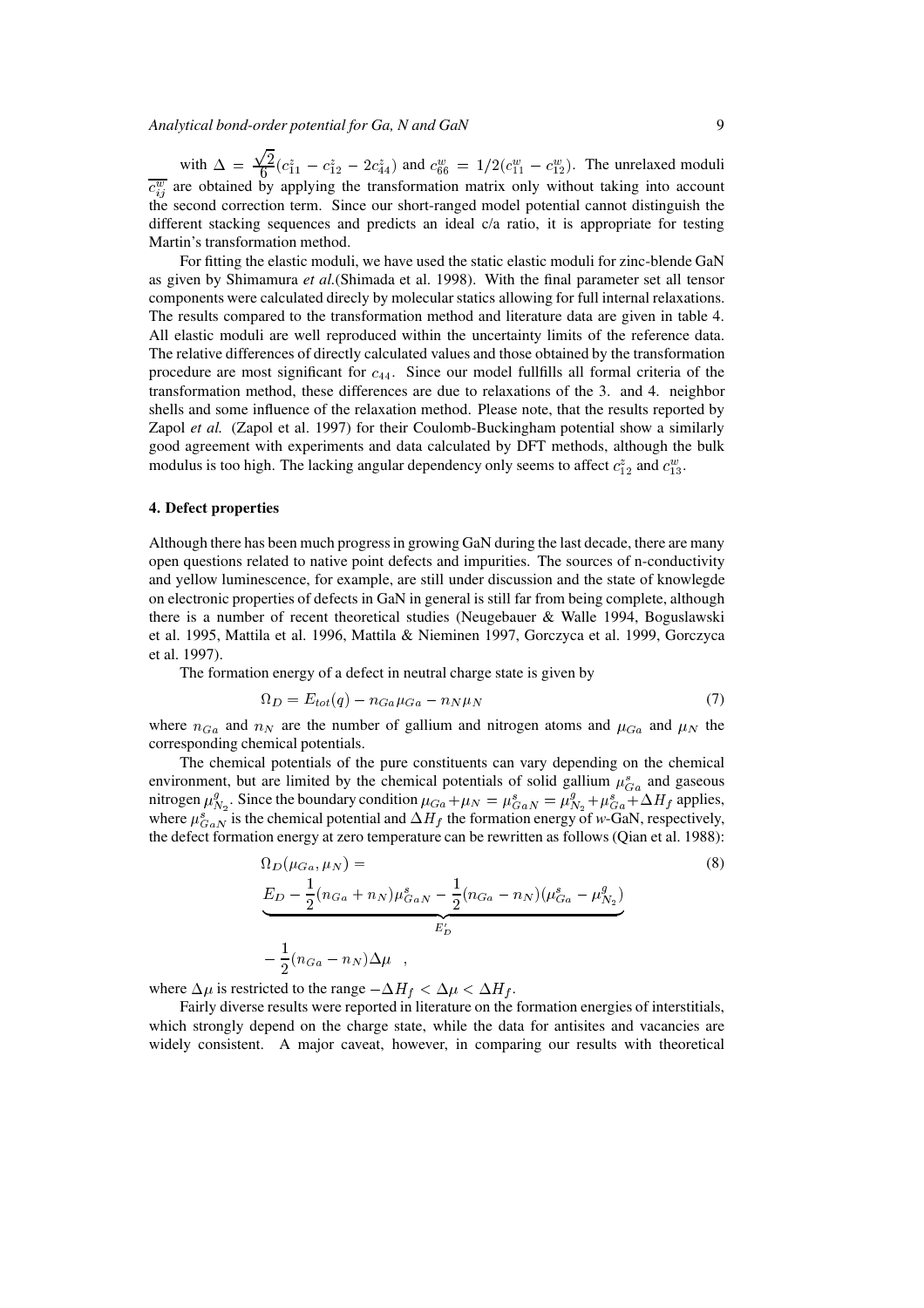*Analytical bond-order potential for Ga, N and GaN* 9

with  $\Delta = \frac{\sqrt{2}}{6}$  $\frac{\sqrt{2}}{6}(c_{11}^z - c_{12}^z - 2c_{44}^z)$  and  $c_{66}^w = 1/2(c_{11}^w - c_{12}^w)$ . The unrelaxed moduli  $\overline{c_{ij}^w}$  are obtained by applying the transformation matrix only without taking into account the second correction term. Since our short-ranged model potential cannot distinguish the different stacking sequences and predicts an ideal c/a ratio, it is appropriate for testing Martin's transformation method.

For fitting the elastic moduli, we have used the static elastic moduli for zinc-blende GaN as given by Shimamura *et al.*(Shimada et al. 1998). With the final parameter set all tensor components were calculated direcly by molecular statics allowing for full internal relaxations. The results compared to the transformation method and literature data are given in table 4. All elastic moduli are well reproduced within the uncertainty limits of the reference data. The relative differences of directly calculated values and those obtained by the transformation procedure are most significant for  $c_{44}$ . Since our model fullfills all formal criteria of the transformation method, these differences are due to relaxations of the 3. and 4. neighbor shells and some influence of the relaxation method. Please note, that the results reported by Zapol *et al.* (Zapol et al. 1997) for their Coulomb-Buckingham potential show a similarly good agreement with experiments and data calculated by DFT methods, although the bulk modulus is too high. The lacking angular dependency only seems to affect  $c_{12}^z$  and  $c_{13}^w$ .

## **4. Defect properties**

Although there has been much progress in growing GaN during the last decade, there are many open questions related to native point defects and impurities. The sources of n-conductivity and yellow luminescence, for example, are still under discussion and the state of knowlegde on electronic properties of defects in GaN in general is still far from being complete, although there is a number of recent theoretical studies (Neugebauer & Walle 1994, Boguslawski et al. 1995, Mattila et al. 1996, Mattila & Nieminen 1997, Gorczyca et al. 1999, Gorczyca et al. 1997).

The formation energy of a defect in neutral charge state is given by

$$
\Omega_D = E_{tot}(q) - n_{Ga} \mu_{Ga} - n_N \mu_N \tag{7}
$$

where  $n_{Ga}$  and  $n_N$  are the number of gallium and nitrogen atoms and  $\mu_{Ga}$  and  $\mu_N$  the corresponding chemical potentials.

The chemical potentials of the pure constituents can vary depending on the chemical environment, but are limited by the chemical potentials of solid gallium  $\mu_{Ga}^s$  and gaseous nitrogen  $\mu_{N_2}^g$ . Since the boundary condition  $\mu_{Ga} + \mu_N = \mu_{GaN}^g = \mu_{N_2}^g + \mu_{Ga}^g + \Delta H_f$  applies, where  $\mu_{GaN}^s$  is the chemical potential and  $\Delta H_f$  the formation energy of *w*-GaN, respectively, the defect formation energy at zero temperature can be rewritten as follows (Qian et al. 1988):

$$
\Omega_D(\mu_{Ga}, \mu_N) =
$$
\n
$$
E_D - \frac{1}{2}(n_{Ga} + n_N)\mu_{GaN}^s - \frac{1}{2}(n_{Ga} - n_N)(\mu_{Ga}^s - \mu_{N_2}^g)
$$
\n
$$
-\frac{1}{2}(n_{Ga} - n_N)\Delta\mu,
$$
\n(8)

where  $\Delta \mu$  is restricted to the range  $-\Delta H_f < \Delta \mu < \Delta H_f$ .

Fairly diverse results were reported in literature on the formation energies of interstitials, which strongly depend on the charge state, while the data for antisites and vacancies are widely consistent. A major caveat, however, in comparing our results with theoretical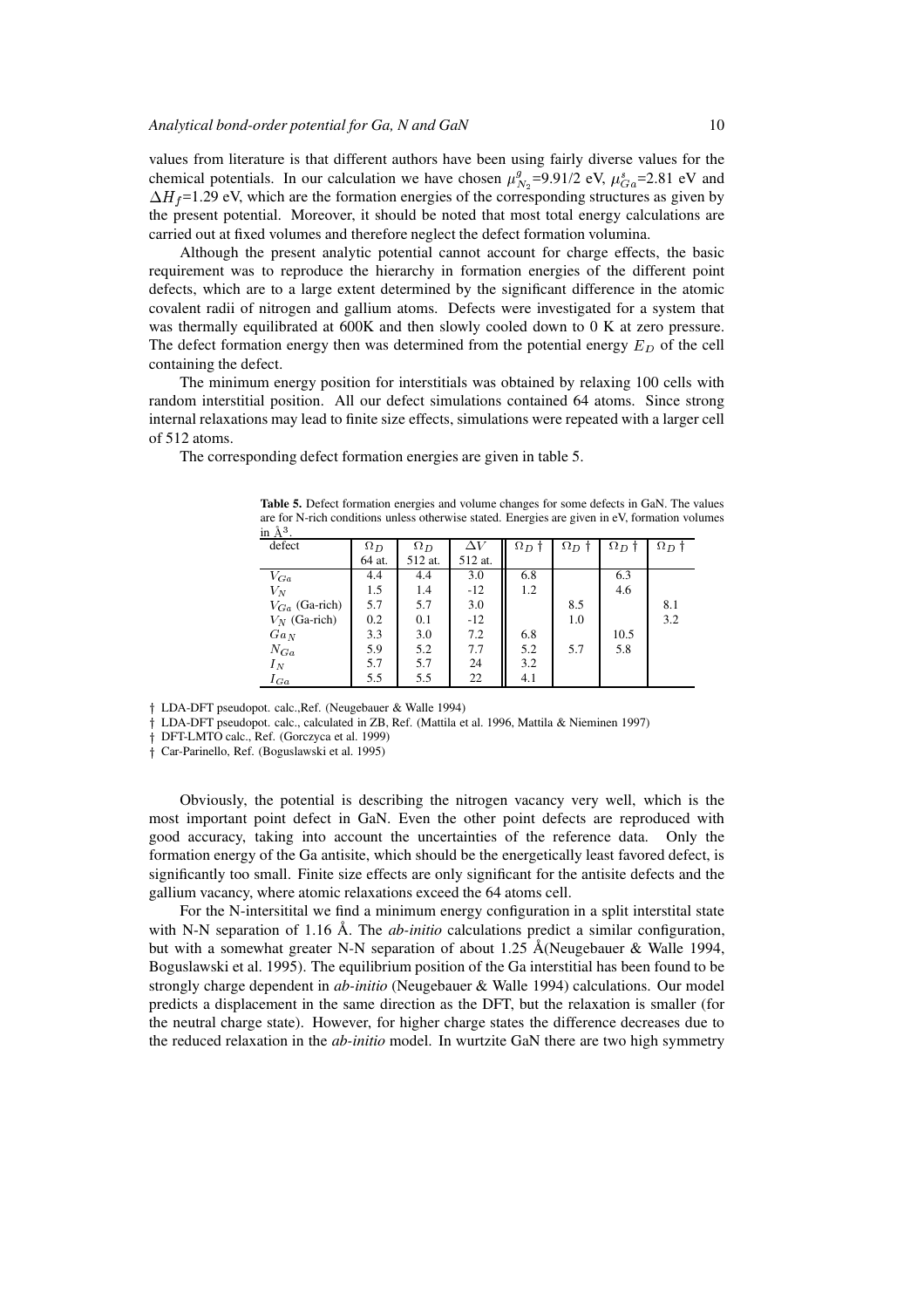values from literature is that different authors have been using fairly diverse values for the chemical potentials. In our calculation we have chosen  $\mu_{N_2}^g$ =9.91/2 eV,  $\mu_{Ga}^s$ =2.81 eV and  $\Delta H_f$ =1.29 eV, which are the formation energies of the corresponding structures as given by the present potential. Moreover, it should be noted that most total energy calculations are carried out at fixed volumes and therefore neglect the defect formation volumina.

Although the present analytic potential cannot account for charge effects, the basic requirement was to reproduce the hierarchy in formation energies of the different point defects, which are to a large extent determined by the significant difference in the atomic covalent radii of nitrogen and gallium atoms. Defects were investigated for a system that was thermally equilibrated at 600K and then slowly cooled down to 0 K at zero pressure. The defect formation energy then was determined from the potential energy  $E_D$  of the cell containing the defect.

The minimum energy position for interstitials was obtained by relaxing 100 cells with random interstitial position. All our defect simulations contained 64 atoms. Since strong internal relaxations may lead to finite size effects, simulations were repeated with a larger cell of 512 atoms.

The corresponding defect formation energies are given in table 5.

| шљ.                |            |            |         |            |              |            |              |
|--------------------|------------|------------|---------|------------|--------------|------------|--------------|
| defect             | $\Omega_D$ | $\Omega_D$ |         | $\Omega_D$ | $\Omega_D$ † | $\Omega_D$ | $\Omega_D$ † |
|                    | 64 at.     | 512 at.    | 512 at. |            |              |            |              |
| $V_{Ga}$           | 4.4        | 4.4        | 3.0     | 6.8        |              | 6.3        |              |
| $V_N$              | 1.5        | 1.4        | $-12$   | 1.2        |              | 4.6        |              |
| $V_{Ga}$ (Ga-rich) | 5.7        | 5.7        | 3.0     |            | 8.5          |            | 8.1          |
| $V_N$ (Ga-rich)    | 0.2        | 0.1        | $-12$   |            | 1.0          |            | 3.2          |
| $Ga_N$             | 3.3        | 3.0        | 7.2     | 6.8        |              | 10.5       |              |
| $N_{Ga}$           | 5.9        | 5.2        | 7.7     | 5.2        | 5.7          | 5.8        |              |
| $I_N$              | 5.7        | 5.7        | 24      | 3.2        |              |            |              |
| $I_{Ga}$           | 5.5        | 5.5        | 22      | 4.1        |              |            |              |

**Table 5.** Defect formation energies and volume changes for some defects in GaN. The values are for N-rich conditions unless otherwise stated. Energies are given in eV, formation volumes in  $\lambda^3$ .

<sup>y</sup> LDA-DFT pseudopot. calc.,Ref. (Neugebauer & Walle 1994)

LDA-DFT pseudopot. calc., calculated in ZB, Ref. (Mattila et al. 1996, Mattila & Nieminen 1997)

<sup>y</sup> DFT-LMTO calc., Ref. (Gorczyca et al. 1999)

<sup>y</sup> Car-Parinello, Ref. (Boguslawski et al. 1995)

Obviously, the potential is describing the nitrogen vacancy very well, which is the most important point defect in GaN. Even the other point defects are reproduced with good accuracy, taking into account the uncertainties of the reference data. Only the formation energy of the Ga antisite, which should be the energetically least favored defect, is significantly too small. Finite size effects are only significant for the antisite defects and the gallium vacancy, where atomic relaxations exceed the 64 atoms cell.

For the N-intersitital we find a minimum energy configuration in a split interstital state with N-N separation of 1.16 Å. The *ab-initio* calculations predict a similar configuration, but with a somewhat greater N-N separation of about 1.25  $\AA$ (Neugebauer & Walle 1994, Boguslawski et al. 1995). The equilibrium position of the Ga interstitial has been found to be strongly charge dependent in *ab-initio* (Neugebauer & Walle 1994) calculations. Our model predicts a displacement in the same direction as the DFT, but the relaxation is smaller (for the neutral charge state). However, for higher charge states the difference decreases due to the reduced relaxation in the *ab-initio* model. In wurtzite GaN there are two high symmetry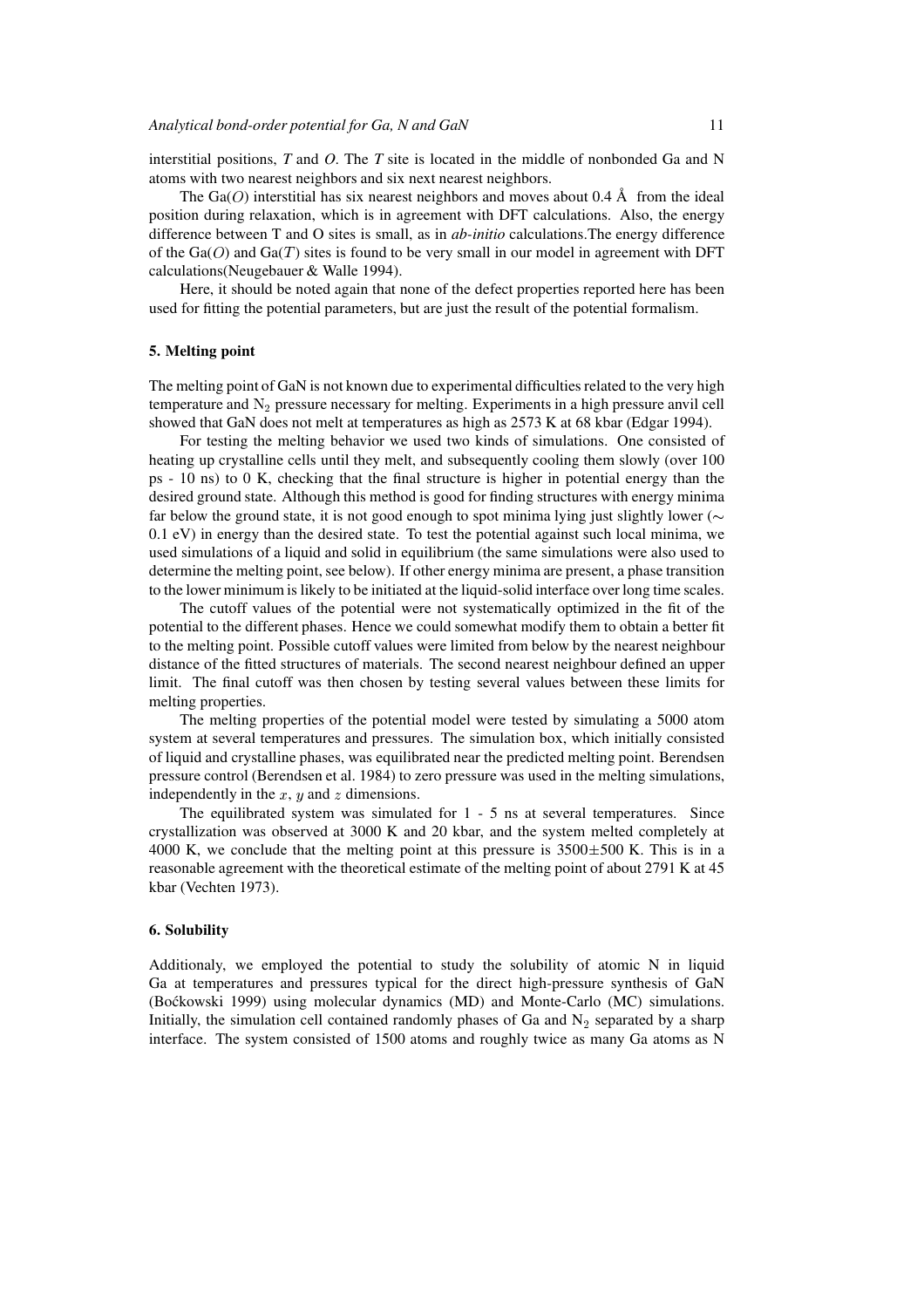interstitial positions, *T* and *O*. The *T* site is located in the middle of nonbonded Ga and N atoms with two nearest neighbors and six next nearest neighbors.

The Ga(O) interstitial has six nearest neighbors and moves about 0.4 Å from the ideal position during relaxation, which is in agreement with DFT calculations. Also, the energy difference between T and O sites is small, as in *ab-initio* calculations.The energy difference of the  $Ga(O)$  and  $Ga(T)$  sites is found to be very small in our model in agreement with DFT calculations(Neugebauer & Walle 1994).

Here, it should be noted again that none of the defect properties reported here has been used for fitting the potential parameters, but are just the result of the potential formalism.

### **5. Melting point**

The melting point of GaN is not known due to experimental difficulties related to the very high temperature and  $N<sub>2</sub>$  pressure necessary for melting. Experiments in a high pressure anvil cell showed that GaN does not melt at temperatures as high as 2573 K at 68 kbar (Edgar 1994).

For testing the melting behavior we used two kinds of simulations. One consisted of heating up crystalline cells until they melt, and subsequently cooling them slowly (over 100 ps - 10 ns) to 0 K, checking that the final structure is higher in potential energy than the desired ground state. Although this method is good for finding structures with energy minima far below the ground state, it is not good enough to spot minima lying just slightly lower ( $\sim$ 0.1 eV) in energy than the desired state. To test the potential against such local minima, we used simulations of a liquid and solid in equilibrium (the same simulations were also used to determine the melting point, see below). If other energy minima are present, a phase transition to the lower minimum is likely to be initiated at the liquid-solid interface over long time scales.

The cutoff values of the potential were not systematically optimized in the fit of the potential to the different phases. Hence we could somewhat modify them to obtain a better fit to the melting point. Possible cutoff values were limited from below by the nearest neighbour distance of the fitted structures of materials. The second nearest neighbour defined an upper limit. The final cutoff was then chosen by testing several values between these limits for melting properties.

The melting properties of the potential model were tested by simulating a 5000 atom system at several temperatures and pressures. The simulation box, which initially consisted of liquid and crystalline phases, was equilibrated near the predicted melting point. Berendsen pressure control (Berendsen et al. 1984) to zero pressure was used in the melting simulations, independently in the x, y and z dimensions.

The equilibrated system was simulated for 1 - 5 ns at several temperatures. Since crystallization was observed at 3000 K and 20 kbar, and the system melted completely at 4000 K, we conclude that the melting point at this pressure is  $3500\pm500$  K. This is in a reasonable agreement with the theoretical estimate of the melting point of about 2791 K at 45 kbar (Vechten 1973).

## **6. Solubility**

Additionaly, we employed the potential to study the solubility of atomic N in liquid Ga at temperatures and pressures typical for the direct high-pressure synthesis of GaN (Bo´ckowski 1999) using molecular dynamics (MD) and Monte-Carlo (MC) simulations. Initially, the simulation cell contained randomly phases of Ga and  $N<sub>2</sub>$  separated by a sharp interface. The system consisted of 1500 atoms and roughly twice as many Ga atoms as N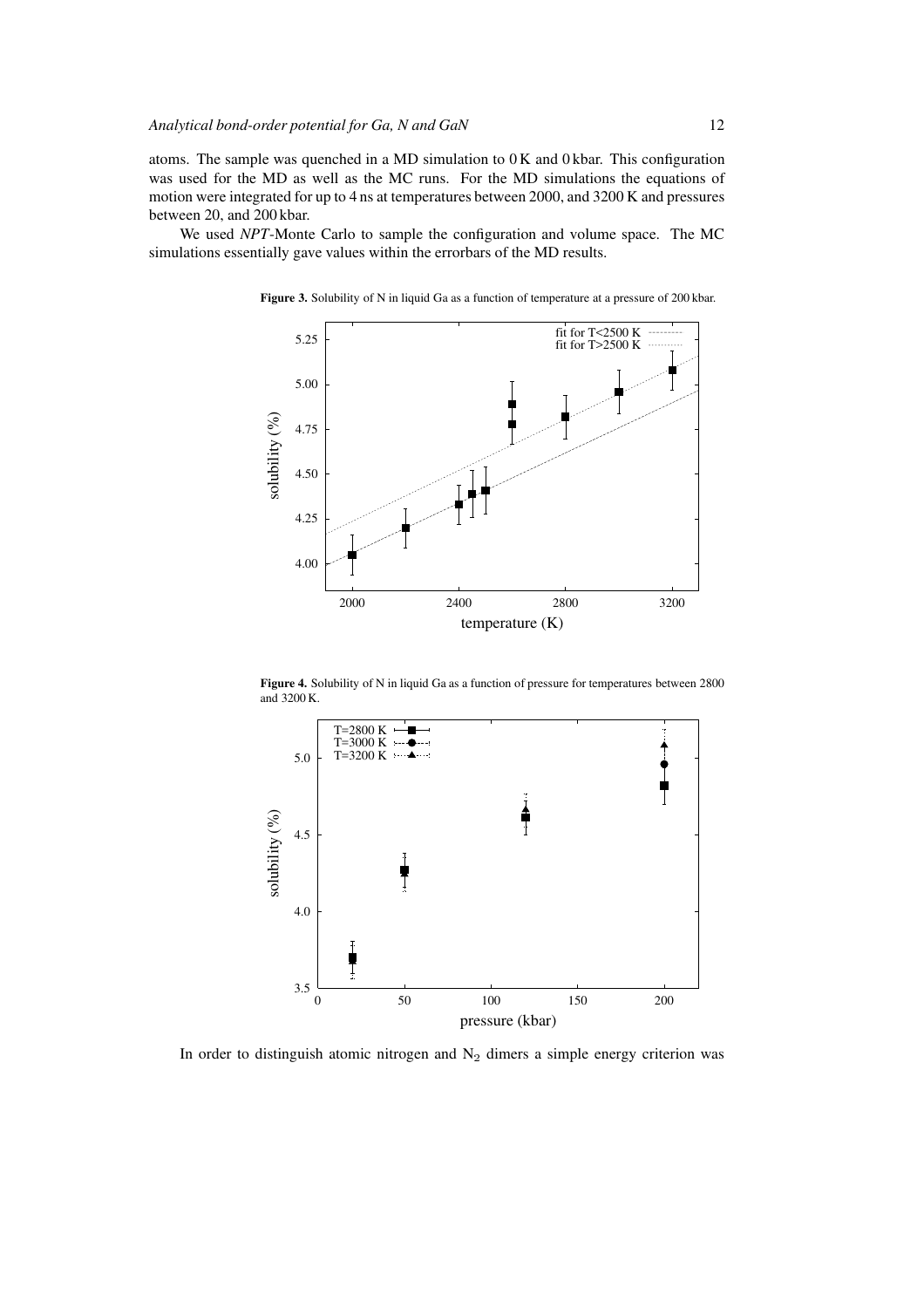atoms. The sample was quenched in a MD simulation to 0 K and 0 kbar. This configuration was used for the MD as well as the MC runs. For the MD simulations the equations of motion were integrated for up to 4 ns at temperatures between 2000, and 3200 K and pressures between 20, and 200 kbar.

We used *NPT*-Monte Carlo to sample the configuration and volume space. The MC simulations essentially gave values within the errorbars of the MD results.



Figure 3. Solubility of N in liquid Ga as a function of temperature at a pressure of 200 kbar.

**Figure 4.** Solubility of N in liquid Ga as a function of pressure for temperatures between 2800 and 3200 K.



In order to distinguish atomic nitrogen and  $N_2$  dimers a simple energy criterion was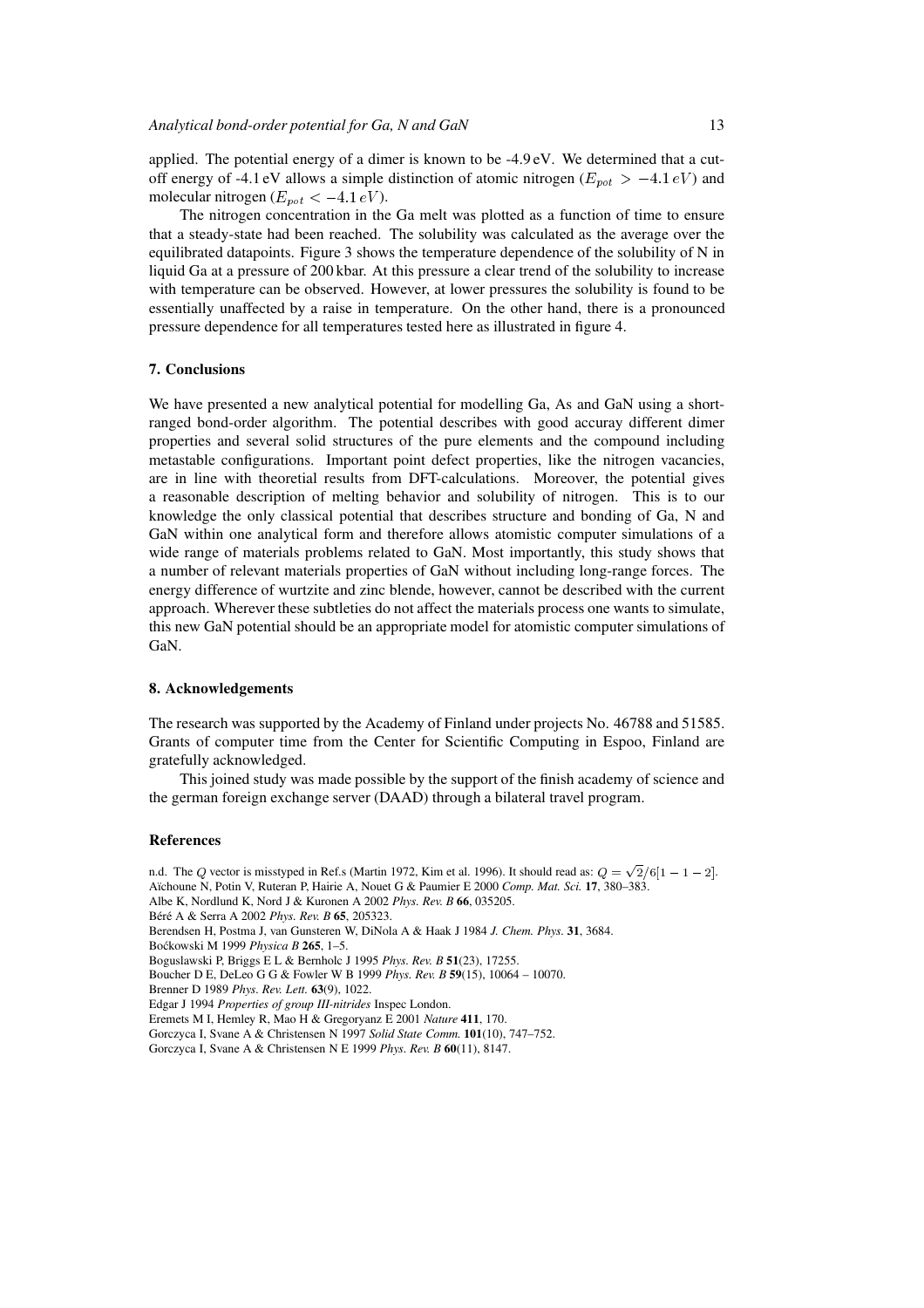applied. The potential energy of a dimer is known to be -4.9 eV. We determined that a cutoff energy of -4.1 eV allows a simple distinction of atomic nitrogen ( $E_{pot} > -4.1 eV$ ) and molecular nitrogen ( $E_{pot} < -4.1 eV$ ).

The nitrogen concentration in the Ga melt was plotted as a function of time to ensure that a steady-state had been reached. The solubility was calculated as the average over the equilibrated datapoints. Figure 3 shows the temperature dependence of the solubility of N in liquid Ga at a pressure of 200 kbar. At this pressure a clear trend of the solubility to increase with temperature can be observed. However, at lower pressures the solubility is found to be essentially unaffected by a raise in temperature. On the other hand, there is a pronounced pressure dependence for all temperatures tested here as illustrated in figure 4.

#### **7. Conclusions**

We have presented a new analytical potential for modelling Ga, As and GaN using a shortranged bond-order algorithm. The potential describes with good accuray different dimer properties and several solid structures of the pure elements and the compound including metastable configurations. Important point defect properties, like the nitrogen vacancies, are in line with theoretial results from DFT-calculations. Moreover, the potential gives a reasonable description of melting behavior and solubility of nitrogen. This is to our knowledge the only classical potential that describes structure and bonding of Ga, N and GaN within one analytical form and therefore allows atomistic computer simulations of a wide range of materials problems related to GaN. Most importantly, this study shows that a number of relevant materials properties of GaN without including long-range forces. The energy difference of wurtzite and zinc blende, however, cannot be described with the current approach. Wherever these subtleties do not affect the materials process one wants to simulate, this new GaN potential should be an appropriate model for atomistic computer simulations of GaN.

## **8. Acknowledgements**

The research was supported by the Academy of Finland under projects No. 46788 and 51585. Grants of computer time from the Center for Scientific Computing in Espoo, Finland are gratefully acknowledged.

This joined study was made possible by the support of the finish academy of science and the german foreign exchange server (DAAD) through a bilateral travel program.

## **References**

n.d. The Q vector is misstyped in Ref.s (Martin 1972, Kim et al. 1996). It should read as:  $Q = \sqrt{2}/6[1 - 1 - 2]$ . A¨ıchoune N, Potin V, Ruteran P, Hairie A, Nouet G & Paumier E 2000 *Comp. Mat. Sci.* **17**, 380–383. Albe K, Nordlund K, Nord J & Kuronen A 2002 *Phys. Rev. B* **66**, 035205. B´er´e A & Serra A 2002 *Phys. Rev. B* **65**, 205323. Berendsen H, Postma J, van Gunsteren W, DiNola A & Haak J 1984 *J. Chem. Phys.* **31**, 3684. Bo´ckowski M 1999 *Physica B* **265**, 1–5. Boguslawski P, Briggs E L & Bernholc J 1995 *Phys. Rev. B* **51**(23), 17255. Boucher D E, DeLeo G G & Fowler W B 1999 *Phys. Rev. B* **59**(15), 10064 – 10070. Brenner D 1989 *Phys. Rev. Lett.* **63**(9), 1022. Edgar J 1994 *Properties of group III-nitrides* Inspec London. Eremets M I, Hemley R, Mao H & Gregoryanz E 2001 *Nature* **411**, 170. Gorczyca I, Svane A & Christensen N 1997 *Solid State Comm.* **101**(10), 747–752. Gorczyca I, Svane A & Christensen N E 1999 *Phys. Rev. B* **60**(11), 8147.